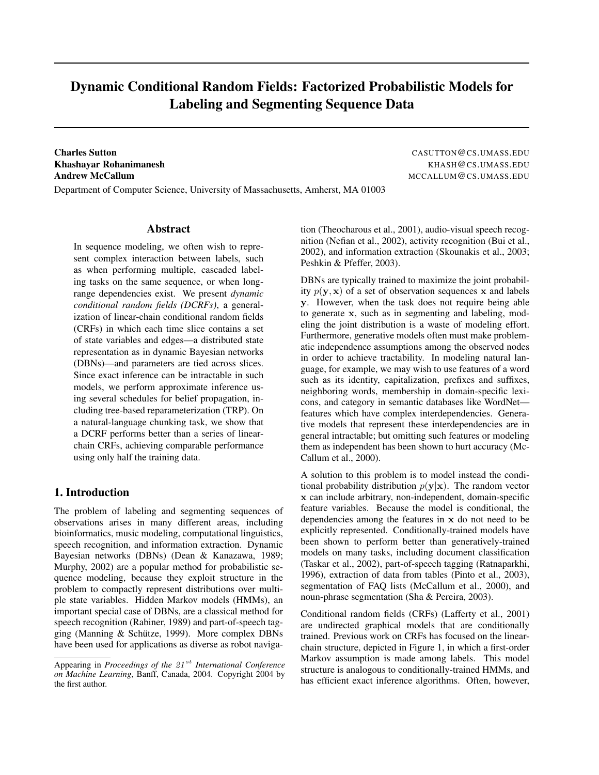# **Dynamic Conditional Random Fields: Factorized Probabilistic Models for Labeling and Segmenting Sequence Data**

Department of Computer Science, University of Massachusetts, Amherst, MA 01003

**Charles Sutton** CASUTTON@CS.UMASS.EDU **Khashayar Rohanimanesh** KHASH@CS.UMASS.EDU **Andrew McCallum** Manual McCALLUM CS.UMASS.EDU

## **Abstract**

In sequence modeling, we often wish to represent complex interaction between labels, such as when performing multiple, cascaded labeling tasks on the same sequence, or when longrange dependencies exist. We present *dynamic conditional random fields (DCRFs)*, a generalization of linear-chain conditional random fields (CRFs) in which each time slice contains a set of state variables and edges—a distributed state representation as in dynamic Bayesian networks (DBNs)—and parameters are tied across slices. Since exact inference can be intractable in such models, we perform approximate inference using several schedules for belief propagation, including tree-based reparameterization (TRP). On a natural-language chunking task, we show that a DCRF performs better than a series of linearchain CRFs, achieving comparable performance using only half the training data.

# **1. Introduction**

The problem of labeling and segmenting sequences of observations arises in many different areas, including bioinformatics, music modeling, computational linguistics, speech recognition, and information extraction. Dynamic Bayesian networks (DBNs) (Dean & Kanazawa, 1989; Murphy, 2002) are a popular method for probabilistic sequence modeling, because they exploit structure in the problem to compactly represent distributions over multiple state variables. Hidden Markov models (HMMs), an important special case of DBNs, are a classical method for speech recognition (Rabiner, 1989) and part-of-speech tagging (Manning & Schütze, 1999). More complex DBNs have been used for applications as diverse as robot navigation (Theocharous et al., 2001), audio-visual speech recognition (Nefian et al., 2002), activity recognition (Bui et al., 2002), and information extraction (Skounakis et al., 2003; Peshkin & Pfeffer, 2003).

DBNs are typically trained to maximize the joint probability  $p(\mathbf{y}, \mathbf{x})$  of a set of observation sequences x and labels y. However, when the task does not require being able to generate x, such as in segmenting and labeling, modeling the joint distribution is a waste of modeling effort. Furthermore, generative models often must make problematic independence assumptions among the observed nodes in order to achieve tractability. In modeling natural language, for example, we may wish to use features of a word such as its identity, capitalization, prefixes and suffixes, neighboring words, membership in domain-specific lexicons, and category in semantic databases like WordNet features which have complex interdependencies. Generative models that represent these interdependencies are in general intractable; but omitting such features or modeling them as independent has been shown to hurt accuracy (Mc-Callum et al., 2000).

A solution to this problem is to model instead the conditional probability distribution  $p(y|x)$ . The random vector x can include arbitrary, non-independent, domain-specific feature variables. Because the model is conditional, the dependencies among the features in x do not need to be explicitly represented. Conditionally-trained models have been shown to perform better than generatively-trained models on many tasks, including document classification (Taskar et al., 2002), part-of-speech tagging (Ratnaparkhi, 1996), extraction of data from tables (Pinto et al., 2003), segmentation of FAQ lists (McCallum et al., 2000), and noun-phrase segmentation (Sha & Pereira, 2003).

Conditional random fields (CRFs) (Lafferty et al., 2001) are undirected graphical models that are conditionally trained. Previous work on CRFs has focused on the linearchain structure, depicted in Figure 1, in which a first-order Markov assumption is made among labels. This model structure is analogous to conditionally-trained HMMs, and has efficient exact inference algorithms. Often, however,

Appearing in *Proceedings of the 21<sup>st</sup> International Conference on Machine Learning*, Banff, Canada, 2004. Copyright 2004 by the first author.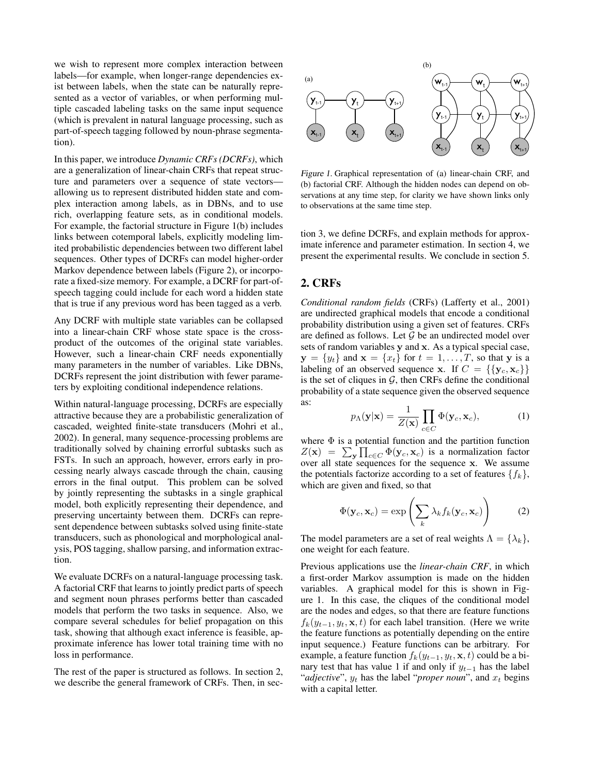we wish to represent more complex interaction between labels—for example, when longer-range dependencies exist between labels, when the state can be naturally represented as a vector of variables, or when performing multiple cascaded labeling tasks on the same input sequence (which is prevalent in natural language processing, such as part-of-speech tagging followed by noun-phrase segmentation).

In this paper, we introduce *Dynamic CRFs (DCRFs)*, which are a generalization of linear-chain CRFs that repeat structure and parameters over a sequence of state vectors allowing us to represent distributed hidden state and complex interaction among labels, as in DBNs, and to use rich, overlapping feature sets, as in conditional models. For example, the factorial structure in Figure 1(b) includes links between cotemporal labels, explicitly modeling limited probabilistic dependencies between two different label sequences. Other types of DCRFs can model higher-order Markov dependence between labels (Figure 2), or incorporate a fixed-size memory. For example, a DCRF for part-ofspeech tagging could include for each word a hidden state that is true if any previous word has been tagged as a verb.

Any DCRF with multiple state variables can be collapsed into a linear-chain CRF whose state space is the crossproduct of the outcomes of the original state variables. However, such a linear-chain CRF needs exponentially many parameters in the number of variables. Like DBNs, DCRFs represent the joint distribution with fewer parameters by exploiting conditional independence relations.

Within natural-language processing, DCRFs are especially attractive because they are a probabilistic generalization of cascaded, weighted finite-state transducers (Mohri et al., 2002). In general, many sequence-processing problems are traditionally solved by chaining errorful subtasks such as FSTs. In such an approach, however, errors early in processing nearly always cascade through the chain, causing errors in the final output. This problem can be solved by jointly representing the subtasks in a single graphical model, both explicitly representing their dependence, and preserving uncertainty between them. DCRFs can represent dependence between subtasks solved using finite-state transducers, such as phonological and morphological analysis, POS tagging, shallow parsing, and information extraction.

We evaluate DCRFs on a natural-language processing task. A factorial CRF that learns to jointly predict parts of speech and segment noun phrases performs better than cascaded models that perform the two tasks in sequence. Also, we compare several schedules for belief propagation on this task, showing that although exact inference is feasible, approximate inference has lower total training time with no loss in performance.

The rest of the paper is structured as follows. In section 2, we describe the general framework of CRFs. Then, in sec-



Figure 1. Graphical representation of (a) linear-chain CRF, and (b) factorial CRF. Although the hidden nodes can depend on observations at any time step, for clarity we have shown links only to observations at the same time step.

tion 3, we define DCRFs, and explain methods for approximate inference and parameter estimation. In section 4, we present the experimental results. We conclude in section 5.

# **2. CRFs**

*Conditional random fields* (CRFs) (Lafferty et al., 2001) are undirected graphical models that encode a conditional probability distribution using a given set of features. CRFs are defined as follows. Let  $G$  be an undirected model over sets of random variables y and x. As a typical special case,  $y = \{y_t\}$  and  $x = \{x_t\}$  for  $t = 1, \ldots, T$ , so that y is a labeling of an observed sequence x. If  $C = \{\{\mathbf{y}_c, \mathbf{x}_c\}\}\$ is the set of cliques in  $G$ , then CRFs define the conditional probability of a state sequence given the observed sequence as:

$$
p_{\Lambda}(\mathbf{y}|\mathbf{x}) = \frac{1}{Z(\mathbf{x})} \prod_{c \in C} \Phi(\mathbf{y}_c, \mathbf{x}_c),
$$
 (1)

where  $\Phi$  is a potential function and the partition function  $Z(\mathbf{x}) = \sum_{\mathbf{y}} \prod_{c \in C} \Phi(\mathbf{y}_c, \mathbf{x}_c)$  is a normalization factor over all state sequences for the sequence x. We assume the potentials factorize according to a set of features  $\{f_k\}$ , which are given and fixed, so that

$$
\Phi(\mathbf{y}_c, \mathbf{x}_c) = \exp\left(\sum_k \lambda_k f_k(\mathbf{y}_c, \mathbf{x}_c)\right) \tag{2}
$$

The model parameters are a set of real weights  $\Lambda = {\lambda_k}$ , one weight for each feature.

Previous applications use the *linear-chain CRF*, in which a first-order Markov assumption is made on the hidden variables. A graphical model for this is shown in Figure 1. In this case, the cliques of the conditional model are the nodes and edges, so that there are feature functions  $f_k(y_{t-1}, y_t, \mathbf{x}, t)$  for each label transition. (Here we write the feature functions as potentially depending on the entire input sequence.) Feature functions can be arbitrary. For example, a feature function  $f_k(y_{t-1}, y_t, \mathbf{x}, t)$  could be a binary test that has value 1 if and only if  $y_{t-1}$  has the label "*adjective*",  $y_t$  has the label "*proper noun*", and  $x_t$  begins with a capital letter.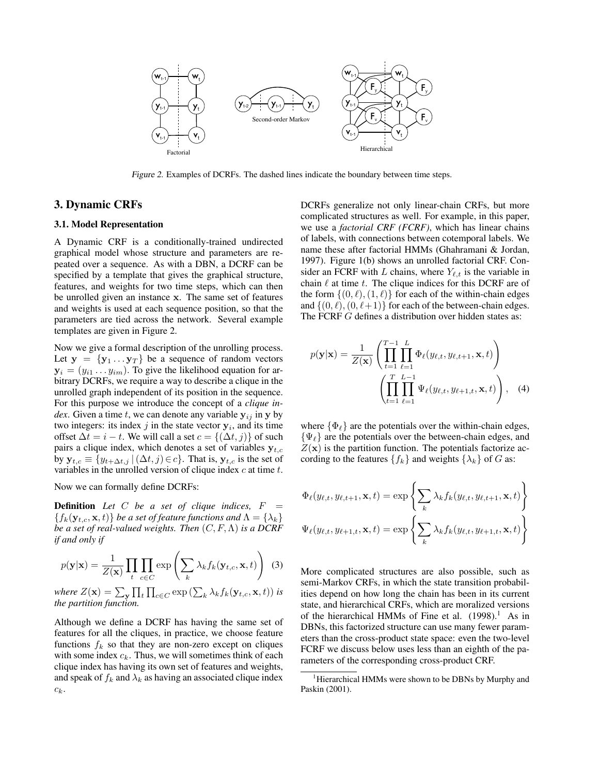

Figure 2. Examples of DCRFs. The dashed lines indicate the boundary between time steps.

# **3. Dynamic CRFs**

## **3.1. Model Representation**

A Dynamic CRF is a conditionally-trained undirected graphical model whose structure and parameters are repeated over a sequence. As with a DBN, a DCRF can be specified by a template that gives the graphical structure, features, and weights for two time steps, which can then be unrolled given an instance x. The same set of features and weights is used at each sequence position, so that the parameters are tied across the network. Several example templates are given in Figure 2.

Now we give a formal description of the unrolling process. Let  $y = \{y_1 \dots y_T\}$  be a sequence of random vectors  $y_i = (y_{i1} \dots y_{im})$ . To give the likelihood equation for arbitrary DCRFs, we require a way to describe a clique in the unrolled graph independent of its position in the sequence. For this purpose we introduce the concept of a *clique index*. Given a time t, we can denote any variable  $y_{ij}$  in y by two integers: its index  $j$  in the state vector  $y_i$ , and its time offset  $\Delta t = i - t$ . We will call a set  $c = \{(\Delta t, j)\}\$ of such pairs a clique index, which denotes a set of variables  $y_{t,c}$ by  $\mathbf{y}_{t,c} \equiv \{y_{t+\Delta t,j} | (\Delta t, j) \in c\}$ . That is,  $\mathbf{y}_{t,c}$  is the set of variables in the unrolled version of clique index  $c$  at time  $t$ .

Now we can formally define DCRFs:

**Definition** Let C be a set of clique indices,  $F =$  ${f_k(\mathbf{y}_{t,c}, \mathbf{x}, t)}$  *be a set of feature functions and*  $\Lambda = {\lambda_k}$ *be a set of real-valued weights. Then* (C, F,Λ) *is a DCRF if and only if*

$$
p(\mathbf{y}|\mathbf{x}) = \frac{1}{Z(\mathbf{x})} \prod_{t} \prod_{c \in C} \exp\left(\sum_{k} \lambda_k f_k(\mathbf{y}_{t,c}, \mathbf{x}, t)\right)
$$
(3)

where  $Z(\mathbf{x}) = \sum_{\mathbf{y}} \prod_t \prod_{c \in C} \exp \left( \sum_k \lambda_k f_k(\mathbf{y}_{t,c}, \mathbf{x}, t) \right)$  is *the partition function.*

Although we define a DCRF has having the same set of features for all the cliques, in practice, we choose feature functions  $f_k$  so that they are non-zero except on cliques with some index  $c_k$ . Thus, we will sometimes think of each clique index has having its own set of features and weights, and speak of  $f_k$  and  $\lambda_k$  as having an associated clique index  $c_k$ .

DCRFs generalize not only linear-chain CRFs, but more complicated structures as well. For example, in this paper, we use a *factorial CRF (FCRF)*, which has linear chains of labels, with connections between cotemporal labels. We name these after factorial HMMs (Ghahramani & Jordan, 1997). Figure 1(b) shows an unrolled factorial CRF. Consider an FCRF with L chains, where  $Y_{\ell,t}$  is the variable in chain  $\ell$  at time  $t$ . The clique indices for this DCRF are of the form  $\{(0, \ell), (1, \ell)\}\$  for each of the within-chain edges and  $\{(0, \ell), (0, \ell+1)\}\$  for each of the between-chain edges. The FCRF G defines a distribution over hidden states as:

$$
p(\mathbf{y}|\mathbf{x}) = \frac{1}{Z(\mathbf{x})} \left( \prod_{t=1}^{T-1} \prod_{\ell=1}^{L} \Phi_{\ell}(y_{\ell,t}, y_{\ell,t+1}, \mathbf{x}, t) \right)
$$

$$
\left( \prod_{t=1}^{T} \prod_{\ell=1}^{L-1} \Psi_{\ell}(y_{\ell,t}, y_{\ell+1,t}, \mathbf{x}, t) \right), \quad (4)
$$

where  $\{\Phi_{\ell}\}\$ are the potentials over the within-chain edges,  $\{\Psi_{\ell}\}\$  are the potentials over the between-chain edges, and  $Z(\mathbf{x})$  is the partition function. The potentials factorize according to the features  $\{f_k\}$  and weights  $\{\lambda_k\}$  of G as:

$$
\Phi_{\ell}(y_{\ell,t}, y_{\ell,t+1}, \mathbf{x}, t) = \exp\left\{\sum_{k} \lambda_{k} f_{k}(y_{\ell,t}, y_{\ell,t+1}, \mathbf{x}, t)\right\}
$$

$$
\Psi_{\ell}(y_{\ell,t}, y_{\ell+1,t}, \mathbf{x}, t) = \exp\left\{\sum_{k} \lambda_{k} f_{k}(y_{\ell,t}, y_{\ell+1,t}, \mathbf{x}, t)\right\}
$$

More complicated structures are also possible, such as semi-Markov CRFs, in which the state transition probabilities depend on how long the chain has been in its current state, and hierarchical CRFs, which are moralized versions of the hierarchical HMMs of Fine et al.  $(1998).<sup>1</sup>$  As in DBNs, this factorized structure can use many fewer parameters than the cross-product state space: even the two-level FCRF we discuss below uses less than an eighth of the parameters of the corresponding cross-product CRF.

<sup>&</sup>lt;sup>1</sup>Hierarchical HMMs were shown to be DBNs by Murphy and Paskin (2001).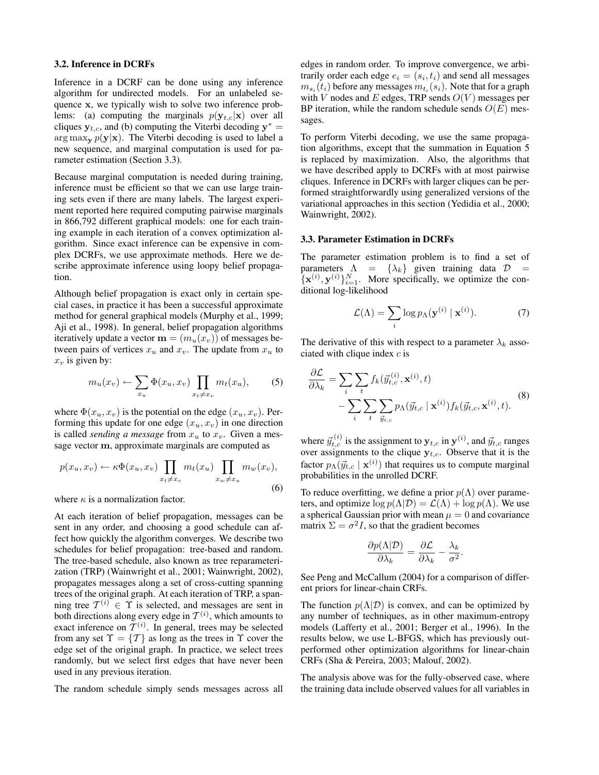#### **3.2. Inference in DCRFs**

Inference in a DCRF can be done using any inference algorithm for undirected models. For an unlabeled sequence x, we typically wish to solve two inference problems: (a) computing the marginals  $p(\mathbf{y}_{t,c}|\mathbf{x})$  over all cliques  $y_{t,c}$ , and (b) computing the Viterbi decoding  $y^* =$ arg max<sub>y</sub>  $p(y|x)$ . The Viterbi decoding is used to label a new sequence, and marginal computation is used for parameter estimation (Section 3.3).

Because marginal computation is needed during training, inference must be efficient so that we can use large training sets even if there are many labels. The largest experiment reported here required computing pairwise marginals in 866,792 different graphical models: one for each training example in each iteration of a convex optimization algorithm. Since exact inference can be expensive in complex DCRFs, we use approximate methods. Here we describe approximate inference using loopy belief propagation.

Although belief propagation is exact only in certain special cases, in practice it has been a successful approximate method for general graphical models (Murphy et al., 1999; Aji et al., 1998). In general, belief propagation algorithms iteratively update a vector  $\mathbf{m} = (m_u(x_v))$  of messages between pairs of vertices  $x_u$  and  $x_v$ . The update from  $x_u$  to  $x<sub>v</sub>$  is given by:

$$
m_u(x_v) \leftarrow \sum_{x_u} \Phi(x_u, x_v) \prod_{x_t \neq x_v} m_t(x_u), \tag{5}
$$

where  $\Phi(x_u, x_v)$  is the potential on the edge  $(x_u, x_v)$ . Performing this update for one edge  $(x_u, x_v)$  in one direction is called *sending a message* from  $x_u$  to  $x_v$ . Given a message vector m, approximate marginals are computed as

$$
p(x_u, x_v) \leftarrow \kappa \Phi(x_u, x_v) \prod_{x_t \neq x_v} m_t(x_u) \prod_{x_w \neq x_u} m_w(x_v), \tag{6}
$$

where  $\kappa$  is a normalization factor.

At each iteration of belief propagation, messages can be sent in any order, and choosing a good schedule can affect how quickly the algorithm converges. We describe two schedules for belief propagation: tree-based and random. The tree-based schedule, also known as tree reparameterization (TRP) (Wainwright et al., 2001; Wainwright, 2002), propagates messages along a set of cross-cutting spanning trees of the original graph. At each iteration of TRP, a spanning tree  $\mathcal{T}^{(i)} \in \Upsilon$  is selected, and messages are sent in both directions along every edge in  $\mathcal{T}^{(i)}$ , which amounts to exact inference on  $\mathcal{T}^{(i)}$ . In general, trees may be selected from any set  $\Upsilon = \{T\}$  as long as the trees in  $\Upsilon$  cover the edge set of the original graph. In practice, we select trees randomly, but we select first edges that have never been used in any previous iteration.

The random schedule simply sends messages across all

edges in random order. To improve convergence, we arbitrarily order each edge  $e_i = (s_i, t_i)$  and send all messages  $m_{s_i}(t_i)$  before any messages  $m_{t_i}(s_i)$ . Note that for a graph with V nodes and E edges, TRP sends  $O(V)$  messages per BP iteration, while the random schedule sends  $O(E)$  messages.

To perform Viterbi decoding, we use the same propagation algorithms, except that the summation in Equation 5 is replaced by maximization. Also, the algorithms that we have described apply to DCRFs with at most pairwise cliques. Inference in DCRFs with larger cliques can be performed straightforwardly using generalized versions of the variational approaches in this section (Yedidia et al., 2000; Wainwright, 2002).

#### **3.3. Parameter Estimation in DCRFs**

The parameter estimation problem is to find a set of parameters  $\Lambda = {\lambda_k}$  given training data  $D =$  ${x^{(i)}, y^{(i)}}_{i=1}^N$ . More specifically, we optimize the conditional log-likelihood

$$
\mathcal{L}(\Lambda) = \sum_{i} \log p_{\Lambda}(\mathbf{y}^{(i)} \mid \mathbf{x}^{(i)}).
$$
 (7)

The derivative of this with respect to a parameter  $\lambda_k$  associated with clique index  $c$  is

$$
\frac{\partial \mathcal{L}}{\partial \lambda_k} = \sum_i \sum_t f_k(\vec{y}_{t,c}^{(i)}, \mathbf{x}^{(i)}, t) - \sum_i \sum_t \sum_{\vec{y}_{t,c}} p_\Lambda(\vec{y}_{t,c} \mid \mathbf{x}^{(i)}) f_k(\vec{y}_{t,c}, \mathbf{x}^{(i)}, t).
$$
\n(8)

where  $\vec{y}_{t,c}^{(i)}$  is the assignment to  $\mathbf{y}_{t,c}$  in  $\mathbf{y}^{(i)}$ , and  $\vec{y}_{t,c}$  ranges over assignments to the clique  $y_{t,c}$ . Observe that it is the factor  $p_{\Lambda}(\vec{y}_{t,c} | \mathbf{x}^{(i)})$  that requires us to compute marginal probabilities in the unrolled DCRF.

To reduce overfitting, we define a prior  $p(\Lambda)$  over parameters, and optimize  $\log p(\Lambda|\mathcal{D}) = \mathcal{L}(\Lambda) + \log p(\Lambda)$ . We use a spherical Gaussian prior with mean  $\mu = 0$  and covariance matrix  $\Sigma = \sigma^2 I$ , so that the gradient becomes

$$
\frac{\partial p(\Lambda|\mathcal{D})}{\partial \lambda_k} = \frac{\partial \mathcal{L}}{\partial \lambda_k} - \frac{\lambda_k}{\sigma^2}.
$$

See Peng and McCallum (2004) for a comparison of different priors for linear-chain CRFs.

The function  $p(\Lambda|\mathcal{D})$  is convex, and can be optimized by any number of techniques, as in other maximum-entropy models (Lafferty et al., 2001; Berger et al., 1996). In the results below, we use L-BFGS, which has previously outperformed other optimization algorithms for linear-chain CRFs (Sha & Pereira, 2003; Malouf, 2002).

The analysis above was for the fully-observed case, where the training data include observed values for all variables in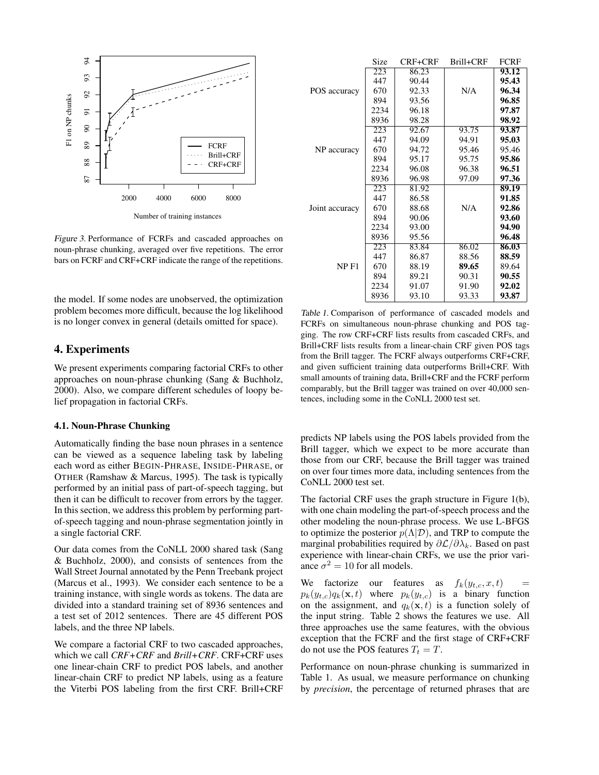

Number of training instances

Figure 3. Performance of FCRFs and cascaded approaches on noun-phrase chunking, averaged over five repetitions. The error bars on FCRF and CRF+CRF indicate the range of the repetitions.

the model. If some nodes are unobserved, the optimization problem becomes more difficult, because the log likelihood is no longer convex in general (details omitted for space).

# **4. Experiments**

We present experiments comparing factorial CRFs to other approaches on noun-phrase chunking (Sang & Buchholz, 2000). Also, we compare different schedules of loopy belief propagation in factorial CRFs.

### **4.1. Noun-Phrase Chunking**

Automatically finding the base noun phrases in a sentence can be viewed as a sequence labeling task by labeling each word as either BEGIN-PHRASE, INSIDE-PHRASE, or OTHER (Ramshaw & Marcus, 1995). The task is typically performed by an initial pass of part-of-speech tagging, but then it can be difficult to recover from errors by the tagger. In this section, we address this problem by performing partof-speech tagging and noun-phrase segmentation jointly in a single factorial CRF.

Our data comes from the CoNLL 2000 shared task (Sang & Buchholz, 2000), and consists of sentences from the Wall Street Journal annotated by the Penn Treebank project (Marcus et al., 1993). We consider each sentence to be a training instance, with single words as tokens. The data are divided into a standard training set of 8936 sentences and a test set of 2012 sentences. There are 45 different POS labels, and the three NP labels.

We compare a factorial CRF to two cascaded approaches, which we call *CRF+CRF* and *Brill+CRF*. CRF+CRF uses one linear-chain CRF to predict POS labels, and another linear-chain CRF to predict NP labels, using as a feature the Viterbi POS labeling from the first CRF. Brill+CRF

|                | Size | CRF+CRF | Brill+CRF | FCRF  |
|----------------|------|---------|-----------|-------|
| POS accuracy   | 223  | 86.23   |           | 93.12 |
|                | 447  | 90.44   |           | 95.43 |
|                | 670  | 92.33   | N/A       | 96.34 |
|                | 894  | 93.56   |           | 96.85 |
|                | 2234 | 96.18   |           | 97.87 |
|                | 8936 | 98.28   |           | 98.92 |
| NP accuracy    | 223  | 92.67   | 93.75     | 93.87 |
|                | 447  | 94.09   | 94.91     | 95.03 |
|                | 670  | 94.72   | 95.46     | 95.46 |
|                | 894  | 95.17   | 95.75     | 95.86 |
|                | 2234 | 96.08   | 96.38     | 96.51 |
|                | 8936 | 96.98   | 97.09     | 97.36 |
| Joint accuracy | 223  | 81.92   |           | 89.19 |
|                | 447  | 86.58   |           | 91.85 |
|                | 670  | 88.68   | N/A       | 92.86 |
|                | 894  | 90.06   |           | 93.60 |
|                | 2234 | 93.00   |           | 94.90 |
| NP F1          | 8936 | 95.56   |           | 96.48 |
|                | 223  | 83.84   | 86.02     | 86.03 |
|                | 447  | 86.87   | 88.56     | 88.59 |
|                | 670  | 88.19   | 89.65     | 89.64 |
|                | 894  | 89.21   | 90.31     | 90.55 |
|                | 2234 | 91.07   | 91.90     | 92.02 |
|                | 8936 | 93.10   | 93.33     | 93.87 |

Table 1. Comparison of performance of cascaded models and FCRFs on simultaneous noun-phrase chunking and POS tagging. The row CRF+CRF lists results from cascaded CRFs, and Brill+CRF lists results from a linear-chain CRF given POS tags from the Brill tagger. The FCRF always outperforms CRF+CRF, and given sufficient training data outperforms Brill+CRF. With small amounts of training data, Brill+CRF and the FCRF perform comparably, but the Brill tagger was trained on over 40,000 sentences, including some in the CoNLL 2000 test set.

predicts NP labels using the POS labels provided from the Brill tagger, which we expect to be more accurate than those from our CRF, because the Brill tagger was trained on over four times more data, including sentences from the CoNLL 2000 test set.

The factorial CRF uses the graph structure in Figure 1(b), with one chain modeling the part-of-speech process and the other modeling the noun-phrase process. We use L-BFGS to optimize the posterior  $p(\Lambda|\mathcal{D})$ , and TRP to compute the marginal probabilities required by  $\partial \mathcal{L}/\partial \lambda_k$ . Based on past experience with linear-chain CRFs, we use the prior variance  $\sigma^2 = 10$  for all models.

We factorize our features as  $f_k(y_{t,c}, x, t)$  $p_k(y_{t,c})q_k(\mathbf{x}, t)$  where  $p_k(y_{t,c})$  is a binary function on the assignment, and  $q_k(\mathbf{x}, t)$  is a function solely of the input string. Table 2 shows the features we use. All three approaches use the same features, with the obvious exception that the FCRF and the first stage of CRF+CRF do not use the POS features  $T_t = T$ .

Performance on noun-phrase chunking is summarized in Table 1. As usual, we measure performance on chunking by *precision*, the percentage of returned phrases that are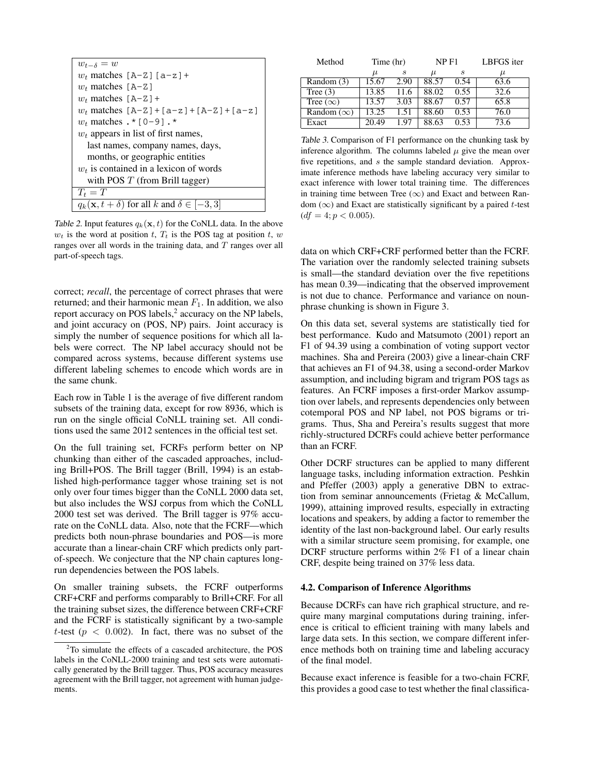| $w_{t-\delta} = w$                                               |  |  |  |  |
|------------------------------------------------------------------|--|--|--|--|
| $w_t$ matches [A-Z] [a-z] +                                      |  |  |  |  |
| $w_t$ matches [A-Z]                                              |  |  |  |  |
| $w_t$ matches $[A-Z]+$                                           |  |  |  |  |
| $w_t$ matches $[A-Z]+[a-z]+[A-Z]+[a-z]$                          |  |  |  |  |
| $w_t$ matches $\cdot$ * [0-9] $\cdot$ *                          |  |  |  |  |
| $w_t$ appears in list of first names,                            |  |  |  |  |
| last names, company names, days,                                 |  |  |  |  |
| months, or geographic entities                                   |  |  |  |  |
| $w_t$ is contained in a lexicon of words                         |  |  |  |  |
| with POS $T$ (from Brill tagger)                                 |  |  |  |  |
| $T_t = T$                                                        |  |  |  |  |
| $q_k(\mathbf{x}, t + \delta)$ for all k and $\delta \in [-3, 3]$ |  |  |  |  |

Table 2. Input features  $q_k(\mathbf{x}, t)$  for the CoNLL data. In the above  $w_t$  is the word at position t,  $T_t$  is the POS tag at position t, w ranges over all words in the training data, and  $T$  ranges over all part-of-speech tags.

correct; *recall*, the percentage of correct phrases that were returned; and their harmonic mean  $F_1$ . In addition, we also report accuracy on POS labels,<sup>2</sup> accuracy on the NP labels, and joint accuracy on (POS, NP) pairs. Joint accuracy is simply the number of sequence positions for which all labels were correct. The NP label accuracy should not be compared across systems, because different systems use different labeling schemes to encode which words are in the same chunk.

Each row in Table 1 is the average of five different random subsets of the training data, except for row 8936, which is run on the single official CoNLL training set. All conditions used the same 2012 sentences in the official test set.

On the full training set, FCRFs perform better on NP chunking than either of the cascaded approaches, including Brill+POS. The Brill tagger (Brill, 1994) is an established high-performance tagger whose training set is not only over four times bigger than the CoNLL 2000 data set, but also includes the WSJ corpus from which the CoNLL 2000 test set was derived. The Brill tagger is 97% accurate on the CoNLL data. Also, note that the FCRF—which predicts both noun-phrase boundaries and POS—is more accurate than a linear-chain CRF which predicts only partof-speech. We conjecture that the NP chain captures longrun dependencies between the POS labels.

On smaller training subsets, the FCRF outperforms CRF+CRF and performs comparably to Brill+CRF. For all the training subset sizes, the difference between CRF+CRF and the FCRF is statistically significant by a two-sample t-test ( $p < 0.002$ ). In fact, there was no subset of the

| Method            | Time (hr) |      | NP F1 |      | LBFGS iter        |
|-------------------|-----------|------|-------|------|-------------------|
|                   | μ         | S    | $\mu$ | S    | $\mu$             |
| Random (3)        | 15.67     | 2.90 | 88.57 | 0.54 | 63.6              |
| Tree $(3)$        | 13.85     | 11.6 | 88.02 | 0.55 | 32.6              |
| Tree $(\infty)$   | 13.57     | 3.03 | 88.67 | 0.57 | 65.8              |
| Random $(\infty)$ | 13.25     | 1.51 | 88.60 | 0.53 | $76.\overline{0}$ |
| Exact             | 20.49     | 1.97 | 88.63 | 0.53 | 73 6              |

Table 3. Comparison of F1 performance on the chunking task by inference algorithm. The columns labeled  $\mu$  give the mean over five repetitions, and s the sample standard deviation. Approximate inference methods have labeling accuracy very similar to exact inference with lower total training time. The differences in training time between Tree  $(\infty)$  and Exact and between Random  $(\infty)$  and Exact are statistically significant by a paired t-test  $(df = 4; p < 0.005).$ 

data on which CRF+CRF performed better than the FCRF. The variation over the randomly selected training subsets is small—the standard deviation over the five repetitions has mean 0.39—indicating that the observed improvement is not due to chance. Performance and variance on nounphrase chunking is shown in Figure 3.

On this data set, several systems are statistically tied for best performance. Kudo and Matsumoto (2001) report an F1 of 94.39 using a combination of voting support vector machines. Sha and Pereira (2003) give a linear-chain CRF that achieves an F1 of 94.38, using a second-order Markov assumption, and including bigram and trigram POS tags as features. An FCRF imposes a first-order Markov assumption over labels, and represents dependencies only between cotemporal POS and NP label, not POS bigrams or trigrams. Thus, Sha and Pereira's results suggest that more richly-structured DCRFs could achieve better performance than an FCRF.

Other DCRF structures can be applied to many different language tasks, including information extraction. Peshkin and Pfeffer (2003) apply a generative DBN to extraction from seminar announcements (Frietag & McCallum, 1999), attaining improved results, especially in extracting locations and speakers, by adding a factor to remember the identity of the last non-background label. Our early results with a similar structure seem promising, for example, one DCRF structure performs within 2% F1 of a linear chain CRF, despite being trained on 37% less data.

#### **4.2. Comparison of Inference Algorithms**

Because DCRFs can have rich graphical structure, and require many marginal computations during training, inference is critical to efficient training with many labels and large data sets. In this section, we compare different inference methods both on training time and labeling accuracy of the final model.

Because exact inference is feasible for a two-chain FCRF, this provides a good case to test whether the final classifica-

<sup>&</sup>lt;sup>2</sup>To simulate the effects of a cascaded architecture, the POS labels in the CoNLL-2000 training and test sets were automatically generated by the Brill tagger. Thus, POS accuracy measures agreement with the Brill tagger, not agreement with human judgements.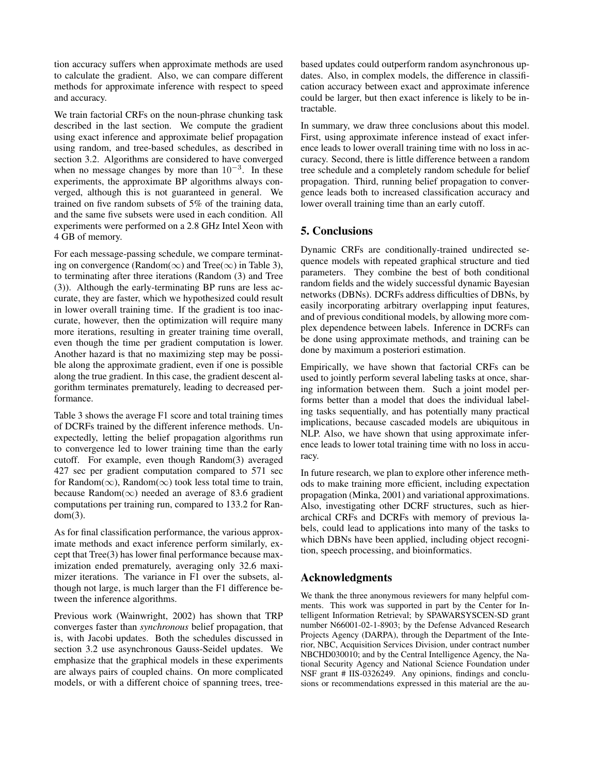tion accuracy suffers when approximate methods are used to calculate the gradient. Also, we can compare different methods for approximate inference with respect to speed and accuracy.

We train factorial CRFs on the noun-phrase chunking task described in the last section. We compute the gradient using exact inference and approximate belief propagation using random, and tree-based schedules, as described in section 3.2. Algorithms are considered to have converged when no message changes by more than  $10^{-3}$ . In these experiments, the approximate BP algorithms always converged, although this is not guaranteed in general. We trained on five random subsets of 5% of the training data, and the same five subsets were used in each condition. All experiments were performed on a 2.8 GHz Intel Xeon with 4 GB of memory.

For each message-passing schedule, we compare terminating on convergence (Random( $\infty$ ) and Tree( $\infty$ ) in Table 3), to terminating after three iterations (Random (3) and Tree (3)). Although the early-terminating BP runs are less accurate, they are faster, which we hypothesized could result in lower overall training time. If the gradient is too inaccurate, however, then the optimization will require many more iterations, resulting in greater training time overall, even though the time per gradient computation is lower. Another hazard is that no maximizing step may be possible along the approximate gradient, even if one is possible along the true gradient. In this case, the gradient descent algorithm terminates prematurely, leading to decreased performance.

Table 3 shows the average F1 score and total training times of DCRFs trained by the different inference methods. Unexpectedly, letting the belief propagation algorithms run to convergence led to lower training time than the early cutoff. For example, even though Random(3) averaged 427 sec per gradient computation compared to 571 sec for Random( $\infty$ ), Random( $\infty$ ) took less total time to train, because Random( $\infty$ ) needed an average of 83.6 gradient computations per training run, compared to 133.2 for Random(3).

As for final classification performance, the various approximate methods and exact inference perform similarly, except that Tree(3) has lower final performance because maximization ended prematurely, averaging only 32.6 maximizer iterations. The variance in F1 over the subsets, although not large, is much larger than the F1 difference between the inference algorithms.

Previous work (Wainwright, 2002) has shown that TRP converges faster than *synchronous* belief propagation, that is, with Jacobi updates. Both the schedules discussed in section 3.2 use asynchronous Gauss-Seidel updates. We emphasize that the graphical models in these experiments are always pairs of coupled chains. On more complicated models, or with a different choice of spanning trees, treebased updates could outperform random asynchronous updates. Also, in complex models, the difference in classification accuracy between exact and approximate inference could be larger, but then exact inference is likely to be intractable.

In summary, we draw three conclusions about this model. First, using approximate inference instead of exact inference leads to lower overall training time with no loss in accuracy. Second, there is little difference between a random tree schedule and a completely random schedule for belief propagation. Third, running belief propagation to convergence leads both to increased classification accuracy and lower overall training time than an early cutoff.

# **5. Conclusions**

Dynamic CRFs are conditionally-trained undirected sequence models with repeated graphical structure and tied parameters. They combine the best of both conditional random fields and the widely successful dynamic Bayesian networks (DBNs). DCRFs address difficulties of DBNs, by easily incorporating arbitrary overlapping input features, and of previous conditional models, by allowing more complex dependence between labels. Inference in DCRFs can be done using approximate methods, and training can be done by maximum a posteriori estimation.

Empirically, we have shown that factorial CRFs can be used to jointly perform several labeling tasks at once, sharing information between them. Such a joint model performs better than a model that does the individual labeling tasks sequentially, and has potentially many practical implications, because cascaded models are ubiquitous in NLP. Also, we have shown that using approximate inference leads to lower total training time with no loss in accuracy.

In future research, we plan to explore other inference methods to make training more efficient, including expectation propagation (Minka, 2001) and variational approximations. Also, investigating other DCRF structures, such as hierarchical CRFs and DCRFs with memory of previous labels, could lead to applications into many of the tasks to which DBNs have been applied, including object recognition, speech processing, and bioinformatics.

# **Acknowledgments**

We thank the three anonymous reviewers for many helpful comments. This work was supported in part by the Center for Intelligent Information Retrieval; by SPAWARSYSCEN-SD grant number N66001-02-1-8903; by the Defense Advanced Research Projects Agency (DARPA), through the Department of the Interior, NBC, Acquisition Services Division, under contract number NBCHD030010; and by the Central Intelligence Agency, the National Security Agency and National Science Foundation under NSF grant # IIS-0326249. Any opinions, findings and conclusions or recommendations expressed in this material are the au